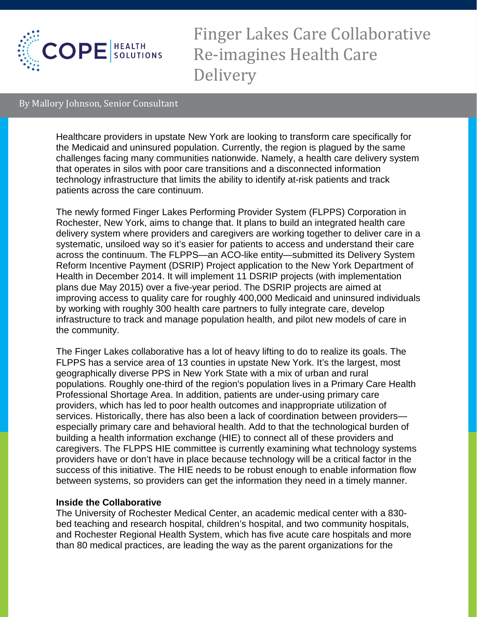

Finger Lakes Care Collaborative Re-imagines Health Care Delivery

## By Mallory Johnson, Senior Consultant

Healthcare providers in upstate New York are looking to transform care specifically for the Medicaid and uninsured population. Currently, the region is plagued by the same challenges facing many communities nationwide. Namely, a health care delivery system that operates in silos with poor care transitions and a disconnected information technology infrastructure that limits the ability to identify at-risk patients and track patients across the care continuum.

The newly formed Finger Lakes Performing Provider System (FLPPS) Corporation in Rochester, New York, aims to change that. It plans to build an integrated health care delivery system where providers and caregivers are working together to deliver care in a systematic, unsiloed way so it's easier for patients to access and understand their care across the continuum. The FLPPS—an ACO-like entity—submitted its Delivery System Reform Incentive Payment (DSRIP) Project application to the New York Department of Health in December 2014. It will implement 11 DSRIP projects (with implementation plans due May 2015) over a five-year period. The DSRIP projects are aimed at improving access to quality care for roughly 400,000 Medicaid and uninsured individuals by working with roughly 300 health care partners to fully integrate care, develop infrastructure to track and manage population health, and pilot new models of care in the community.

The Finger Lakes collaborative has a lot of heavy lifting to do to realize its goals. The FLPPS has a service area of 13 counties in upstate New York. It's the largest, most geographically diverse PPS in New York State with a mix of urban and rural populations. Roughly one-third of the region's population lives in a Primary Care Health Professional Shortage Area. In addition, patients are under-using primary care providers, which has led to poor health outcomes and inappropriate utilization of services. Historically, there has also been a lack of coordination between providers especially primary care and behavioral health. Add to that the technological burden of building a health information exchange (HIE) to connect all of these providers and caregivers. The FLPPS HIE committee is currently examining what technology systems providers have or don't have in place because technology will be a critical factor in the success of this initiative. The HIE needs to be robust enough to enable information flow between systems, so providers can get the information they need in a timely manner.

## **Inside the Collaborative**

The University of Rochester Medical Center, an academic medical center with a 830 bed teaching and research hospital, children's hospital, and two community hospitals, and Rochester Regional Health System, which has five acute care hospitals and more than 80 medical practices, are leading the way as the parent organizations for the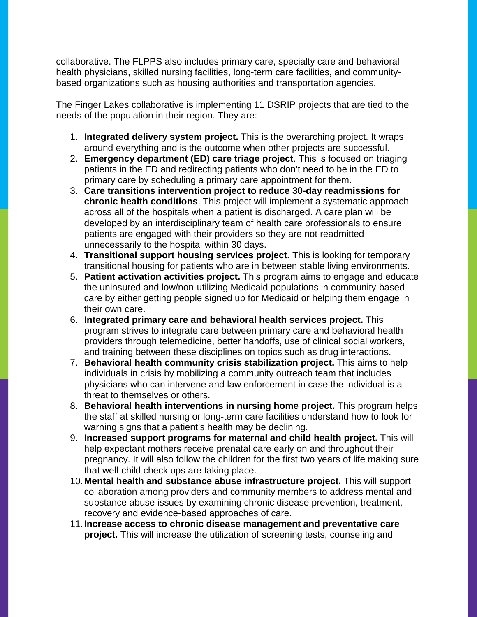collaborative. The FLPPS also includes primary care, specialty care and behavioral health physicians, skilled nursing facilities, long-term care facilities, and communitybased organizations such as housing authorities and transportation agencies.

The Finger Lakes collaborative is implementing 11 DSRIP projects that are tied to the needs of the population in their region. They are:

- 1. **Integrated delivery system project.** This is the overarching project. It wraps around everything and is the outcome when other projects are successful.
- 2. **Emergency department (ED) care triage project**. This is focused on triaging patients in the ED and redirecting patients who don't need to be in the ED to primary care by scheduling a primary care appointment for them.
- 3. **Care transitions intervention project to reduce 30-day readmissions for chronic health conditions**. This project will implement a systematic approach across all of the hospitals when a patient is discharged. A care plan will be developed by an interdisciplinary team of health care professionals to ensure patients are engaged with their providers so they are not readmitted unnecessarily to the hospital within 30 days.
- 4. **Transitional support housing services project.** This is looking for temporary transitional housing for patients who are in between stable living environments.
- 5. **Patient activation activities project.** This program aims to engage and educate the uninsured and low/non-utilizing Medicaid populations in community-based care by either getting people signed up for Medicaid or helping them engage in their own care.
- 6. **Integrated primary care and behavioral health services project.** This program strives to integrate care between primary care and behavioral health providers through telemedicine, better handoffs, use of clinical social workers, and training between these disciplines on topics such as drug interactions.
- 7. **Behavioral health community crisis stabilization project.** This aims to help individuals in crisis by mobilizing a community outreach team that includes physicians who can intervene and law enforcement in case the individual is a threat to themselves or others.
- 8. **Behavioral health interventions in nursing home project.** This program helps the staff at skilled nursing or long-term care facilities understand how to look for warning signs that a patient's health may be declining.
- 9. **Increased support programs for maternal and child health project.** This will help expectant mothers receive prenatal care early on and throughout their pregnancy. It will also follow the children for the first two years of life making sure that well-child check ups are taking place.
- 10.**Mental health and substance abuse infrastructure project.** This will support collaboration among providers and community members to address mental and substance abuse issues by examining chronic disease prevention, treatment, recovery and evidence-based approaches of care.
- 11.**Increase access to chronic disease management and preventative care project.** This will increase the utilization of screening tests, counseling and